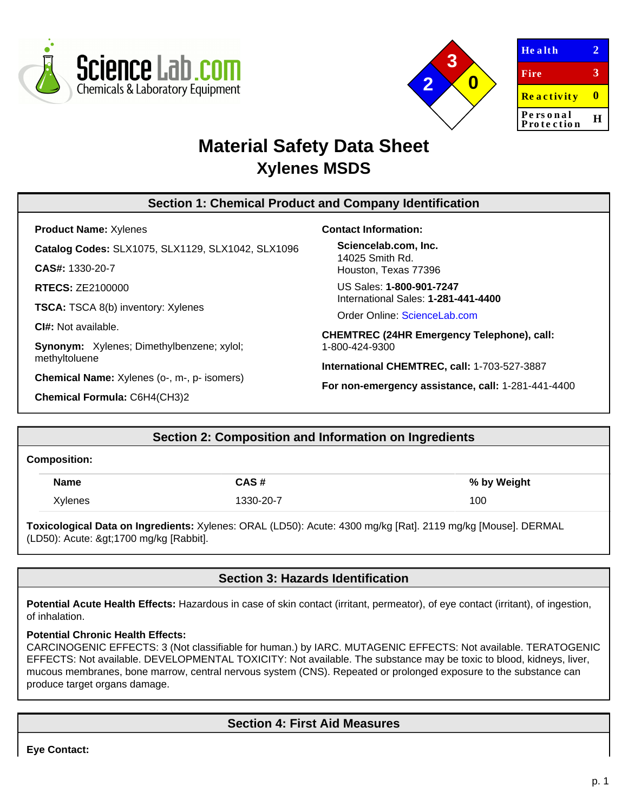



| <b>Health</b>          |   |
|------------------------|---|
| Fire                   | 3 |
| <b>Reactivity</b>      | Ш |
| Personal<br>Protection | н |
|                        |   |

# **Material Safety Data Sheet Xylenes MSDS**

# **Section 1: Chemical Product and Company Identification**

**Product Name:** Xylenes

**Catalog Codes:** SLX1075, SLX1129, SLX1042, SLX1096

**CAS#:** 1330-20-7

**RTECS:** ZE2100000

**TSCA:** TSCA 8(b) inventory: Xylenes

**CI#:** Not available.

**Synonym:** Xylenes; Dimethylbenzene; xylol; methyltoluene

**Chemical Name:** Xylenes (o-, m-, p- isomers)

**Chemical Formula:** C6H4(CH3)2

#### **Contact Information:**

**Sciencelab.com, Inc.** 14025 Smith Rd. Houston, Texas 77396

US Sales: **1-800-901-7247** International Sales: **1-281-441-4400**

Order Online: [ScienceLab.com](http://www.sciencelab.com/)

**CHEMTREC (24HR Emergency Telephone), call:** 1-800-424-9300

**International CHEMTREC, call:** 1-703-527-3887

**For non-emergency assistance, call:** 1-281-441-4400

# **Section 2: Composition and Information on Ingredients**

#### **Composition:**

| <b>Name</b> | CAS#      | % by Weight |
|-------------|-----------|-------------|
| Xylenes     | 1330-20-7 | 100         |

**Toxicological Data on Ingredients:** Xylenes: ORAL (LD50): Acute: 4300 mg/kg [Rat]. 2119 mg/kg [Mouse]. DERMAL (LD50): Acute: >1700 mg/kg [Rabbit].

# **Section 3: Hazards Identification**

**Potential Acute Health Effects:** Hazardous in case of skin contact (irritant, permeator), of eye contact (irritant), of ingestion, of inhalation.

## **Potential Chronic Health Effects:**

CARCINOGENIC EFFECTS: 3 (Not classifiable for human.) by IARC. MUTAGENIC EFFECTS: Not available. TERATOGENIC EFFECTS: Not available. DEVELOPMENTAL TOXICITY: Not available. The substance may be toxic to blood, kidneys, liver, mucous membranes, bone marrow, central nervous system (CNS). Repeated or prolonged exposure to the substance can produce target organs damage.

# **Section 4: First Aid Measures**

**Eye Contact:**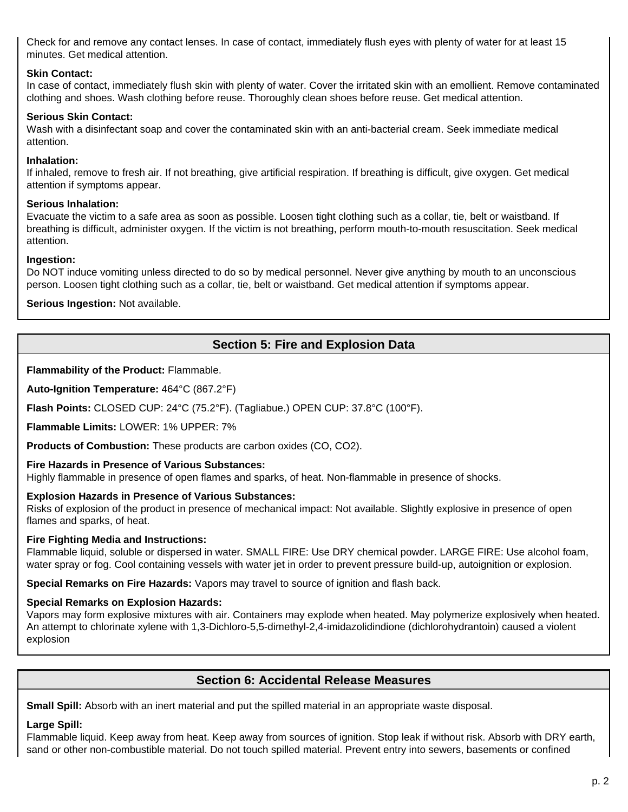Check for and remove any contact lenses. In case of contact, immediately flush eyes with plenty of water for at least 15 minutes. Get medical attention.

## **Skin Contact:**

In case of contact, immediately flush skin with plenty of water. Cover the irritated skin with an emollient. Remove contaminated clothing and shoes. Wash clothing before reuse. Thoroughly clean shoes before reuse. Get medical attention.

## **Serious Skin Contact:**

Wash with a disinfectant soap and cover the contaminated skin with an anti-bacterial cream. Seek immediate medical attention.

## **Inhalation:**

If inhaled, remove to fresh air. If not breathing, give artificial respiration. If breathing is difficult, give oxygen. Get medical attention if symptoms appear.

## **Serious Inhalation:**

Evacuate the victim to a safe area as soon as possible. Loosen tight clothing such as a collar, tie, belt or waistband. If breathing is difficult, administer oxygen. If the victim is not breathing, perform mouth-to-mouth resuscitation. Seek medical attention.

## **Ingestion:**

Do NOT induce vomiting unless directed to do so by medical personnel. Never give anything by mouth to an unconscious person. Loosen tight clothing such as a collar, tie, belt or waistband. Get medical attention if symptoms appear.

## **Serious Ingestion:** Not available.

# **Section 5: Fire and Explosion Data**

**Flammability of the Product:** Flammable.

**Auto-Ignition Temperature:** 464°C (867.2°F)

**Flash Points:** CLOSED CUP: 24°C (75.2°F). (Tagliabue.) OPEN CUP: 37.8°C (100°F).

**Flammable Limits:** LOWER: 1% UPPER: 7%

**Products of Combustion:** These products are carbon oxides (CO, CO2).

## **Fire Hazards in Presence of Various Substances:**

Highly flammable in presence of open flames and sparks, of heat. Non-flammable in presence of shocks.

## **Explosion Hazards in Presence of Various Substances:**

Risks of explosion of the product in presence of mechanical impact: Not available. Slightly explosive in presence of open flames and sparks, of heat.

## **Fire Fighting Media and Instructions:**

Flammable liquid, soluble or dispersed in water. SMALL FIRE: Use DRY chemical powder. LARGE FIRE: Use alcohol foam, water spray or fog. Cool containing vessels with water jet in order to prevent pressure build-up, autoignition or explosion.

**Special Remarks on Fire Hazards:** Vapors may travel to source of ignition and flash back.

# **Special Remarks on Explosion Hazards:**

Vapors may form explosive mixtures with air. Containers may explode when heated. May polymerize explosively when heated. An attempt to chlorinate xylene with 1,3-Dichloro-5,5-dimethyl-2,4-imidazolidindione (dichlorohydrantoin) caused a violent explosion

## **Section 6: Accidental Release Measures**

**Small Spill:** Absorb with an inert material and put the spilled material in an appropriate waste disposal.

## **Large Spill:**

Flammable liquid. Keep away from heat. Keep away from sources of ignition. Stop leak if without risk. Absorb with DRY earth, sand or other non-combustible material. Do not touch spilled material. Prevent entry into sewers, basements or confined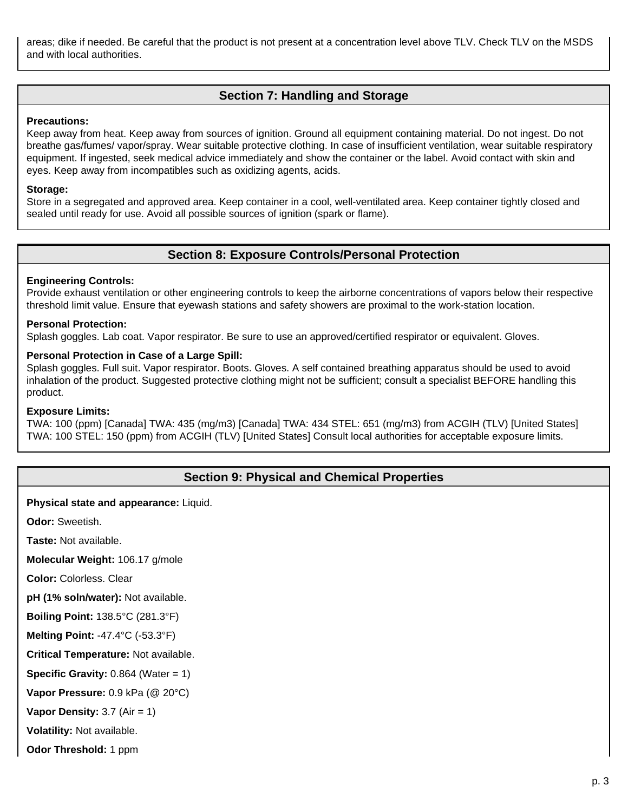areas; dike if needed. Be careful that the product is not present at a concentration level above TLV. Check TLV on the MSDS and with local authorities.

# **Section 7: Handling and Storage**

#### **Precautions:**

Keep away from heat. Keep away from sources of ignition. Ground all equipment containing material. Do not ingest. Do not breathe gas/fumes/ vapor/spray. Wear suitable protective clothing. In case of insufficient ventilation, wear suitable respiratory equipment. If ingested, seek medical advice immediately and show the container or the label. Avoid contact with skin and eyes. Keep away from incompatibles such as oxidizing agents, acids.

#### **Storage:**

Store in a segregated and approved area. Keep container in a cool, well-ventilated area. Keep container tightly closed and sealed until ready for use. Avoid all possible sources of ignition (spark or flame).

## **Section 8: Exposure Controls/Personal Protection**

#### **Engineering Controls:**

Provide exhaust ventilation or other engineering controls to keep the airborne concentrations of vapors below their respective threshold limit value. Ensure that eyewash stations and safety showers are proximal to the work-station location.

#### **Personal Protection:**

Splash goggles. Lab coat. Vapor respirator. Be sure to use an approved/certified respirator or equivalent. Gloves.

#### **Personal Protection in Case of a Large Spill:**

Splash goggles. Full suit. Vapor respirator. Boots. Gloves. A self contained breathing apparatus should be used to avoid inhalation of the product. Suggested protective clothing might not be sufficient; consult a specialist BEFORE handling this product.

#### **Exposure Limits:**

TWA: 100 (ppm) [Canada] TWA: 435 (mg/m3) [Canada] TWA: 434 STEL: 651 (mg/m3) from ACGIH (TLV) [United States] TWA: 100 STEL: 150 (ppm) from ACGIH (TLV) [United States] Consult local authorities for acceptable exposure limits.

## **Section 9: Physical and Chemical Properties**

**Physical state and appearance:** Liquid.

**Odor:** Sweetish.

**Taste:** Not available.

**Molecular Weight:** 106.17 g/mole

**Color:** Colorless. Clear

**pH (1% soln/water):** Not available.

**Boiling Point:** 138.5°C (281.3°F)

**Melting Point:** -47.4°C (-53.3°F)

**Critical Temperature:** Not available.

**Specific Gravity:**  $0.864$  (Water = 1)

**Vapor Pressure:** 0.9 kPa (@ 20°C)

**Vapor Density:** 3.7 (Air = 1)

**Volatility:** Not available.

**Odor Threshold:** 1 ppm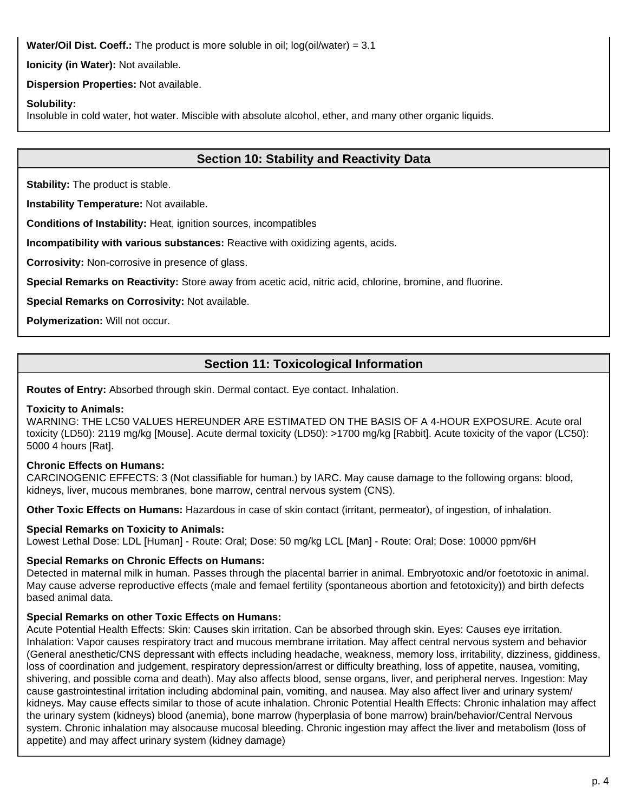**Water/Oil Dist. Coeff.:** The product is more soluble in oil; log(oil/water) = 3.1

**Ionicity (in Water):** Not available.

**Dispersion Properties:** Not available.

## **Solubility:**

Insoluble in cold water, hot water. Miscible with absolute alcohol, ether, and many other organic liquids.

# **Section 10: Stability and Reactivity Data**

**Stability:** The product is stable.

**Instability Temperature:** Not available.

**Conditions of Instability:** Heat, ignition sources, incompatibles

**Incompatibility with various substances:** Reactive with oxidizing agents, acids.

**Corrosivity:** Non-corrosive in presence of glass.

**Special Remarks on Reactivity:** Store away from acetic acid, nitric acid, chlorine, bromine, and fluorine.

**Special Remarks on Corrosivity:** Not available.

**Polymerization:** Will not occur.

# **Section 11: Toxicological Information**

**Routes of Entry:** Absorbed through skin. Dermal contact. Eye contact. Inhalation.

### **Toxicity to Animals:**

WARNING: THE LC50 VALUES HEREUNDER ARE ESTIMATED ON THE BASIS OF A 4-HOUR EXPOSURE. Acute oral toxicity (LD50): 2119 mg/kg [Mouse]. Acute dermal toxicity (LD50): >1700 mg/kg [Rabbit]. Acute toxicity of the vapor (LC50): 5000 4 hours [Rat].

## **Chronic Effects on Humans:**

CARCINOGENIC EFFECTS: 3 (Not classifiable for human.) by IARC. May cause damage to the following organs: blood, kidneys, liver, mucous membranes, bone marrow, central nervous system (CNS).

**Other Toxic Effects on Humans:** Hazardous in case of skin contact (irritant, permeator), of ingestion, of inhalation.

## **Special Remarks on Toxicity to Animals:**

Lowest Lethal Dose: LDL [Human] - Route: Oral; Dose: 50 mg/kg LCL [Man] - Route: Oral; Dose: 10000 ppm/6H

## **Special Remarks on Chronic Effects on Humans:**

Detected in maternal milk in human. Passes through the placental barrier in animal. Embryotoxic and/or foetotoxic in animal. May cause adverse reproductive effects (male and femael fertility (spontaneous abortion and fetotoxicity)) and birth defects based animal data.

## **Special Remarks on other Toxic Effects on Humans:**

Acute Potential Health Effects: Skin: Causes skin irritation. Can be absorbed through skin. Eyes: Causes eye irritation. Inhalation: Vapor causes respiratory tract and mucous membrane irritation. May affect central nervous system and behavior (General anesthetic/CNS depressant with effects including headache, weakness, memory loss, irritability, dizziness, giddiness, loss of coordination and judgement, respiratory depression/arrest or difficulty breathing, loss of appetite, nausea, vomiting, shivering, and possible coma and death). May also affects blood, sense organs, liver, and peripheral nerves. Ingestion: May cause gastrointestinal irritation including abdominal pain, vomiting, and nausea. May also affect liver and urinary system/ kidneys. May cause effects similar to those of acute inhalation. Chronic Potential Health Effects: Chronic inhalation may affect the urinary system (kidneys) blood (anemia), bone marrow (hyperplasia of bone marrow) brain/behavior/Central Nervous system. Chronic inhalation may alsocause mucosal bleeding. Chronic ingestion may affect the liver and metabolism (loss of appetite) and may affect urinary system (kidney damage)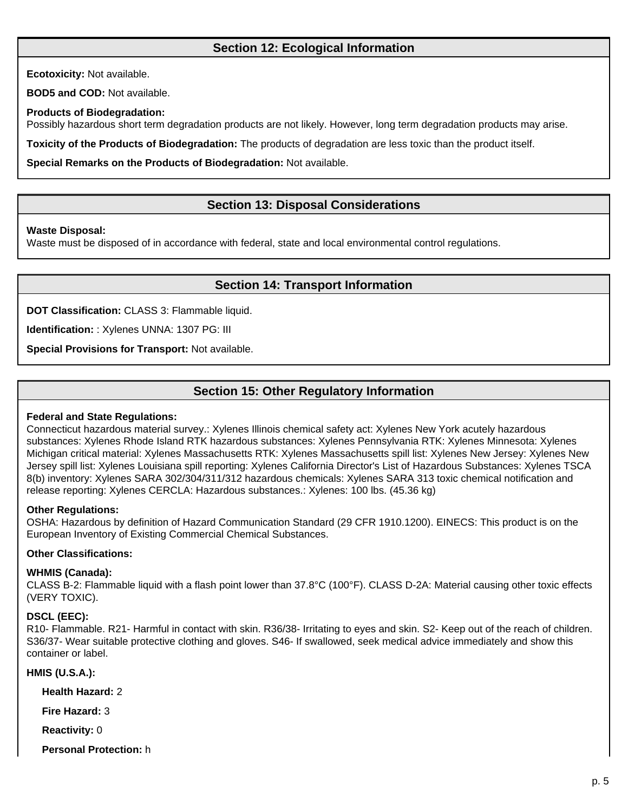# **Section 12: Ecological Information**

**Ecotoxicity:** Not available.

**BOD5 and COD:** Not available.

## **Products of Biodegradation:**

Possibly hazardous short term degradation products are not likely. However, long term degradation products may arise.

**Toxicity of the Products of Biodegradation:** The products of degradation are less toxic than the product itself.

**Special Remarks on the Products of Biodegradation:** Not available.

# **Section 13: Disposal Considerations**

## **Waste Disposal:**

Waste must be disposed of in accordance with federal, state and local environmental control regulations.

# **Section 14: Transport Information**

**DOT Classification:** CLASS 3: Flammable liquid.

**Identification:** : Xylenes UNNA: 1307 PG: III

**Special Provisions for Transport:** Not available.

# **Section 15: Other Regulatory Information**

## **Federal and State Regulations:**

Connecticut hazardous material survey.: Xylenes Illinois chemical safety act: Xylenes New York acutely hazardous substances: Xylenes Rhode Island RTK hazardous substances: Xylenes Pennsylvania RTK: Xylenes Minnesota: Xylenes Michigan critical material: Xylenes Massachusetts RTK: Xylenes Massachusetts spill list: Xylenes New Jersey: Xylenes New Jersey spill list: Xylenes Louisiana spill reporting: Xylenes California Director's List of Hazardous Substances: Xylenes TSCA 8(b) inventory: Xylenes SARA 302/304/311/312 hazardous chemicals: Xylenes SARA 313 toxic chemical notification and release reporting: Xylenes CERCLA: Hazardous substances.: Xylenes: 100 lbs. (45.36 kg)

## **Other Regulations:**

OSHA: Hazardous by definition of Hazard Communication Standard (29 CFR 1910.1200). EINECS: This product is on the European Inventory of Existing Commercial Chemical Substances.

## **Other Classifications:**

## **WHMIS (Canada):**

CLASS B-2: Flammable liquid with a flash point lower than 37.8°C (100°F). CLASS D-2A: Material causing other toxic effects (VERY TOXIC).

## **DSCL (EEC):**

R10- Flammable. R21- Harmful in contact with skin. R36/38- Irritating to eyes and skin. S2- Keep out of the reach of children. S36/37- Wear suitable protective clothing and gloves. S46- If swallowed, seek medical advice immediately and show this container or label.

## **HMIS (U.S.A.):**

**Health Hazard:** 2

**Fire Hazard:** 3

**Reactivity:** 0

**Personal Protection:** h